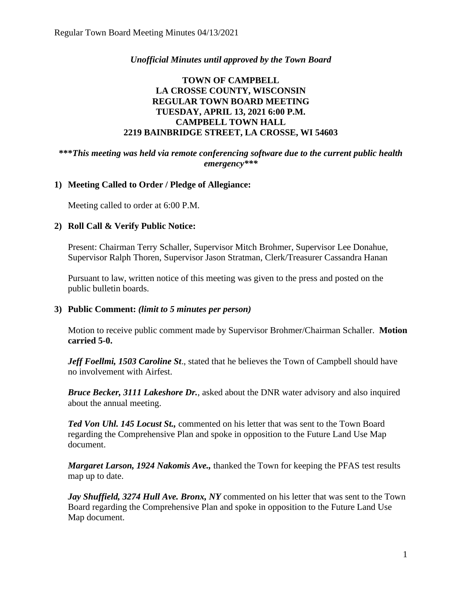# *Unofficial Minutes until approved by the Town Board*

# **TOWN OF CAMPBELL LA CROSSE COUNTY, WISCONSIN REGULAR TOWN BOARD MEETING TUESDAY, APRIL 13, 2021 6:00 P.M. CAMPBELL TOWN HALL 2219 BAINBRIDGE STREET, LA CROSSE, WI 54603**

#### **\*\*\****This meeting was held via remote conferencing software due to the current public health emergency\*\*\**

# **1) Meeting Called to Order / Pledge of Allegiance:**

Meeting called to order at 6:00 P.M.

#### **2) Roll Call & Verify Public Notice:**

Present: Chairman Terry Schaller, Supervisor Mitch Brohmer, Supervisor Lee Donahue, Supervisor Ralph Thoren, Supervisor Jason Stratman, Clerk/Treasurer Cassandra Hanan

Pursuant to law, written notice of this meeting was given to the press and posted on the public bulletin boards.

#### **3) Public Comment:** *(limit to 5 minutes per person)*

Motion to receive public comment made by Supervisor Brohmer/Chairman Schaller. **Motion carried 5-0.**

*Jeff Foellmi, 1503 Caroline St., stated that he believes the Town of Campbell should have* no involvement with Airfest.

*Bruce Becker, 3111 Lakeshore Dr.*, asked about the DNR water advisory and also inquired about the annual meeting.

*Ted Von Uhl. 145 Locust St.,* commented on his letter that was sent to the Town Board regarding the Comprehensive Plan and spoke in opposition to the Future Land Use Map document.

*Margaret Larson, 1924 Nakomis Ave.,* thanked the Town for keeping the PFAS test results map up to date.

*Jay Shuffield, 3274 Hull Ave. Bronx, NY* commented on his letter that was sent to the Town Board regarding the Comprehensive Plan and spoke in opposition to the Future Land Use Map document.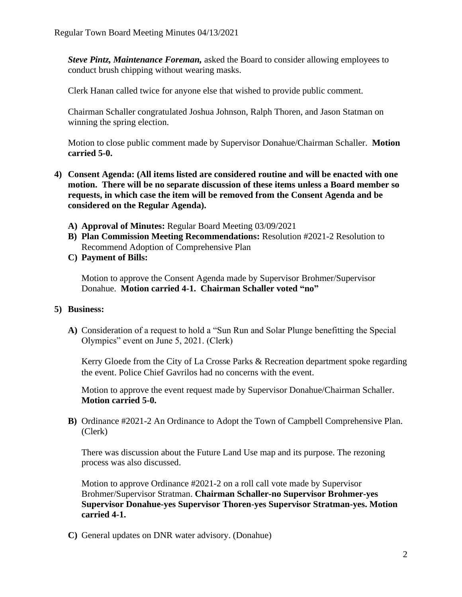*Steve Pintz, Maintenance Foreman,* asked the Board to consider allowing employees to conduct brush chipping without wearing masks.

Clerk Hanan called twice for anyone else that wished to provide public comment.

Chairman Schaller congratulated Joshua Johnson, Ralph Thoren, and Jason Statman on winning the spring election.

Motion to close public comment made by Supervisor Donahue/Chairman Schaller. **Motion carried 5-0.**

- **4) Consent Agenda: (All items listed are considered routine and will be enacted with one motion. There will be no separate discussion of these items unless a Board member so requests, in which case the item will be removed from the Consent Agenda and be considered on the Regular Agenda).**
	- **A) Approval of Minutes:** Regular Board Meeting 03/09/2021
	- **B) Plan Commission Meeting Recommendations:** Resolution #2021-2 Resolution to Recommend Adoption of Comprehensive Plan
	- **C) Payment of Bills:**

Motion to approve the Consent Agenda made by Supervisor Brohmer/Supervisor Donahue. **Motion carried 4-1. Chairman Schaller voted "no"**

#### **5) Business:**

**A)** Consideration of a request to hold a "Sun Run and Solar Plunge benefitting the Special Olympics" event on June 5, 2021. (Clerk)

Kerry Gloede from the City of La Crosse Parks & Recreation department spoke regarding the event. Police Chief Gavrilos had no concerns with the event.

Motion to approve the event request made by Supervisor Donahue/Chairman Schaller. **Motion carried 5-0.**

**B)** Ordinance #2021-2 An Ordinance to Adopt the Town of Campbell Comprehensive Plan. (Clerk)

There was discussion about the Future Land Use map and its purpose. The rezoning process was also discussed.

Motion to approve Ordinance #2021-2 on a roll call vote made by Supervisor Brohmer/Supervisor Stratman. **Chairman Schaller-no Supervisor Brohmer-yes Supervisor Donahue-yes Supervisor Thoren-yes Supervisor Stratman-yes. Motion carried 4-1.** 

**C)** General updates on DNR water advisory. (Donahue)